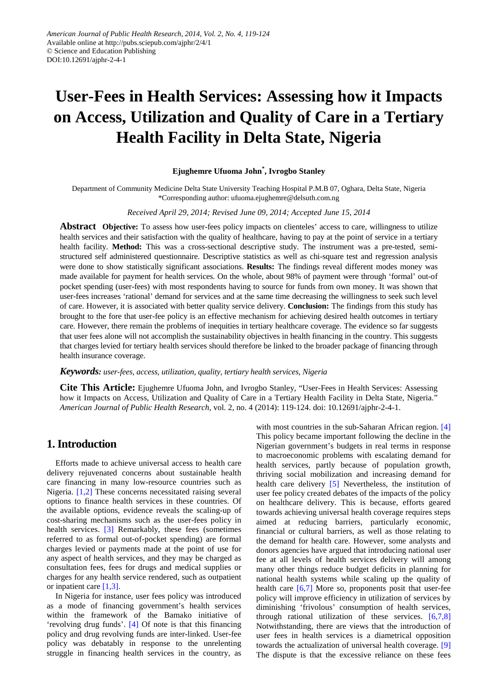# **User-Fees in Health Services: Assessing how it Impacts on Access, Utilization and Quality of Care in a Tertiary Health Facility in Delta State, Nigeria**

#### **Ejughemre Ufuoma John\* , Ivrogbo Stanley**

Department of Community Medicine Delta State University Teaching Hospital P.M.B 07, Oghara, Delta State, Nigeria \*Corresponding author: ufuoma.ejughemre@delsuth.com.ng

#### *Received April 29, 2014; Revised June 09, 2014; Accepted June 15, 2014*

**Abstract Objective:** To assess how user-fees policy impacts on clienteles' access to care, willingness to utilize health services and their satisfaction with the quality of healthcare, having to pay at the point of service in a tertiary health facility. **Method:** This was a cross-sectional descriptive study. The instrument was a pre-tested, semistructured self administered questionnaire. Descriptive statistics as well as chi-square test and regression analysis were done to show statistically significant associations. **Results:** The findings reveal different modes money was made available for payment for health services. On the whole, about 98% of payment were through 'formal' out-of pocket spending (user-fees) with most respondents having to source for funds from own money. It was shown that user-fees increases 'rational' demand for services and at the same time decreasing the willingness to seek such level of care. However, it is associated with better quality service delivery. **Conclusion:** The findings from this study has brought to the fore that user-fee policy is an effective mechanism for achieving desired health outcomes in tertiary care. However, there remain the problems of inequities in tertiary healthcare coverage. The evidence so far suggests that user fees alone will not accomplish the sustainability objectives in health financing in the country. This suggests that charges levied for tertiary health services should therefore be linked to the broader package of financing through health insurance coverage.

#### *Keywords: user-fees, access, utilization, quality, tertiary health services, Nigeria*

**Cite This Article:** Ejughemre Ufuoma John, and Ivrogbo Stanley, "User-Fees in Health Services: Assessing how it Impacts on Access, Utilization and Quality of Care in a Tertiary Health Facility in Delta State, Nigeria." *American Journal of Public Health Research*, vol. 2, no. 4 (2014): 119-124. doi: 10.12691/ajphr-2-4-1.

## **1. Introduction**

Efforts made to achieve universal access to health care delivery rejuvenated concerns about sustainable health care financing in many low-resource countries such as Nigeria. [\[1,2\]](#page-4-0) These concerns necessitated raising several options to finance health services in these countries. Of the available options, evidence reveals the scaling-up of cost-sharing mechanisms such as the user-fees policy in health services. [\[3\]](#page-4-1) Remarkably, these fees (sometimes referred to as formal out-of-pocket spending) are formal charges levied or payments made at the point of use for any aspect of health services, and they may be charged as consultation fees, fees for drugs and medical supplies or charges for any health service rendered, such as outpatient or inpatient care [\[1,3\].](#page-4-0)

In Nigeria for instance, user fees policy was introduced as a mode of financing government's health services within the framework of the Bamako initiative of 'revolving drug funds'. [\[4\]](#page-4-2) Of note is that this financing policy and drug revolving funds are inter-linked. User-fee policy was debatably in response to the unrelenting struggle in financing health services in the country, as

with most countries in the sub-Saharan African region. [\[4\]](#page-4-2) This policy became important following the decline in the Nigerian government's budgets in real terms in response to macroeconomic problems with escalating demand for health services, partly because of population growth, thriving social mobilization and increasing demand for health care delivery [\[5\]](#page-4-3) Nevertheless, the institution of user fee policy created debates of the impacts of the policy on healthcare delivery. This is because, efforts geared towards achieving universal health coverage requires steps aimed at reducing barriers, particularly economic, financial or cultural barriers, as well as those relating to the demand for health care. However, some analysts and donors agencies have argued that introducing national user fee at all levels of health services delivery will among many other things reduce budget deficits in planning for national health systems while scaling up the quality of health care [\[6,7\]](#page-4-4) More so, proponents posit that user-fee policy will improve efficiency in utilization of services by diminishing 'frivolous' consumption of health services, through rational utilization of these services. [\[6,7,8\]](#page-4-4) Notwithstanding, there are views that the introduction of user fees in health services is a diametrical opposition towards the actualization of universal health coverage. [\[9\]](#page-5-0) The dispute is that the excessive reliance on these fees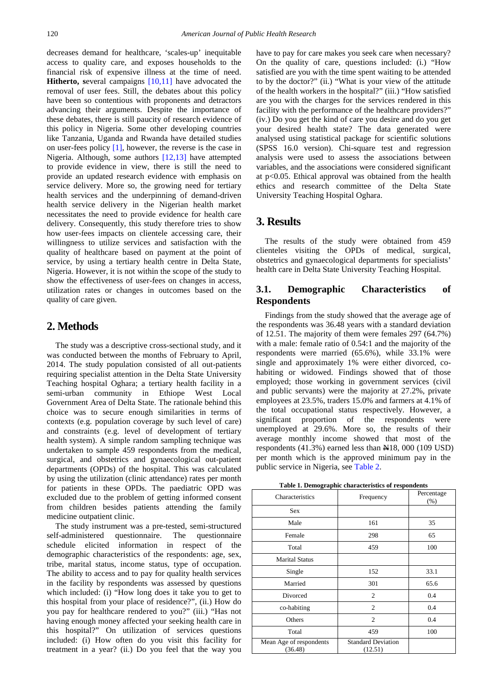decreases demand for healthcare, 'scales-up' inequitable access to quality care, and exposes households to the financial risk of expensive illness at the time of need. **Hitherto, s**everal campaigns [\[10,11\]](#page-5-1) have advocated the removal of user fees. Still, the debates about this policy have been so contentious with proponents and detractors advancing their arguments. Despite the importance of these debates, there is still paucity of research evidence of this policy in Nigeria. Some other developing countries like Tanzania, Uganda and Rwanda have detailed studies on user-fees policy [\[1\],](#page-4-0) however, the reverse is the case in Nigeria. Although, some authors [\[12,13\]](#page-5-2) have attempted to provide evidence in view, there is still the need to provide an updated research evidence with emphasis on service delivery. More so, the growing need for tertiary health services and the underpinning of demand-driven health service delivery in the Nigerian health market necessitates the need to provide evidence for health care delivery. Consequently, this study therefore tries to show how user-fees impacts on clientele accessing care, their willingness to utilize services and satisfaction with the quality of healthcare based on payment at the point of service, by using a tertiary health centre in Delta State, Nigeria. However, it is not within the scope of the study to show the effectiveness of user-fees on changes in access, utilization rates or changes in outcomes based on the quality of care given.

## **2. Methods**

The study was a descriptive cross-sectional study, and it was conducted between the months of February to April, 2014. The study population consisted of all out-patients requiring specialist attention in the Delta State University Teaching hospital Oghara; a tertiary health facility in a semi-urban community in Ethiope West Local Government Area of Delta State. The rationale behind this choice was to secure enough similarities in terms of contexts (e.g. population coverage by such level of care) and constraints (e.g. level of development of tertiary health system). A simple random sampling technique was undertaken to sample 459 respondents from the medical, surgical, and obstetrics and gynaecological out-patient departments (OPDs) of the hospital. This was calculated by using the utilization (clinic attendance) rates per month for patients in these OPDs. The paediatric OPD was excluded due to the problem of getting informed consent from children besides patients attending the family medicine outpatient clinic.

The study instrument was a pre-tested, semi-structured self-administered questionnaire. The questionnaire schedule elicited information in respect of the demographic characteristics of the respondents: age, sex, tribe, marital status, income status, type of occupation. The ability to access and to pay for quality health services in the facility by respondents was assessed by questions which included: (i) "How long does it take you to get to this hospital from your place of residence?", (ii.) How do you pay for healthcare rendered to you?" (iii.) "Has not having enough money affected your seeking health care in this hospital?" On utilization of services questions included: (i) How often do you visit this facility for treatment in a year? (ii.) Do you feel that the way you

have to pay for care makes you seek care when necessary? On the quality of care, questions included: (i.) "How satisfied are you with the time spent waiting to be attended to by the doctor?" (ii.) "What is your view of the attitude of the health workers in the hospital?" (iii.) "How satisfied are you with the charges for the services rendered in this facility with the performance of the healthcare providers?" (iv.) Do you get the kind of care you desire and do you get your desired health state? The data generated were analysed using statistical package for scientific solutions (SPSS 16.0 version). Chi-square test and regression analysis were used to assess the associations between variables, and the associations were considered significant at p<0.05. Ethical approval was obtained from the health ethics and research committee of the Delta State University Teaching Hospital Oghara.

## **3. Results**

The results of the study were obtained from 459 clienteles visiting the OPDs of medical, surgical, obstetrics and gynaecological departments for specialists' health care in Delta State University Teaching Hospital.

## **3.1. Demographic Characteristics of Respondents**

Findings from the study showed that the average age of the respondents was 36.48 years with a standard deviation of 12.51. The majority of them were females 297 (64.7%) with a male: female ratio of 0.54:1 and the majority of the respondents were married (65.6%), while 33.1% were single and approximately 1% were either divorced, cohabiting or widowed. Findings showed that of those employed; those working in government services (civil and public servants) were the majority at 27.2%, private employees at 23.5%, traders 15.0% and farmers at 4.1% of the total occupational status respectively. However, a significant proportion of the respondents were unemployed at 29.6%. More so, the results of their average monthly income showed that most of the respondents  $(41.3\%)$  earned less than  $\angle 418$ , 000 (109 USD) per month which is the approved minimum pay in the public service in Nigeria, see [Table 2.](#page-2-0)

**Table 1. Demographic characteristics of respondents**

| Characteristics                    | Frequency                            | Percentage<br>(% ) |
|------------------------------------|--------------------------------------|--------------------|
| Sex                                |                                      |                    |
| Male                               | 161                                  | 35                 |
| Female                             | 298                                  | 65                 |
| Total                              | 459                                  | 100                |
| <b>Marital Status</b>              |                                      |                    |
| Single                             | 152                                  | 33.1               |
| Married                            | 301                                  | 65.6               |
| Divorced                           | $\overline{c}$                       | 0.4                |
| co-habiting                        | $\overline{2}$                       | 0.4                |
| Others                             | $\overline{c}$                       | 0.4                |
| Total                              | 459                                  | 100                |
| Mean Age of respondents<br>(36.48) | <b>Standard Deviation</b><br>(12.51) |                    |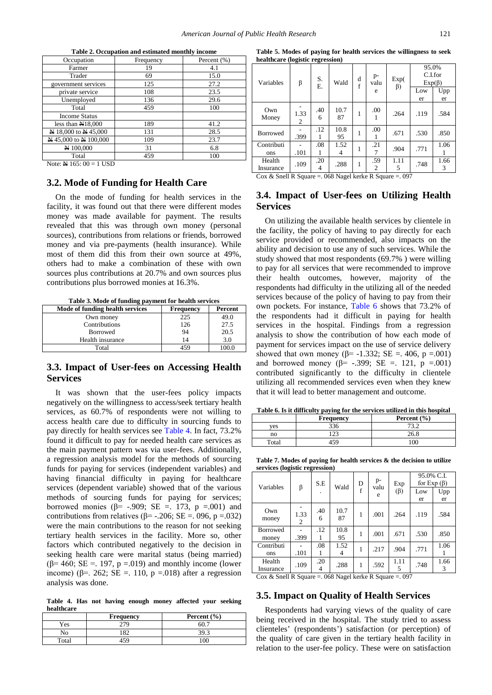<span id="page-2-0"></span>

| тари 2. Оссиранон ани сминанси пюнину писопи       |           |             |  |  |  |  |  |
|----------------------------------------------------|-----------|-------------|--|--|--|--|--|
| Occupation                                         | Frequency | Percent (%) |  |  |  |  |  |
| Farmer                                             | 19        | 4.1         |  |  |  |  |  |
| Trader                                             | 69        | 15.0        |  |  |  |  |  |
| government services                                | 125       | 27.2        |  |  |  |  |  |
| private service                                    | 108       | 23.5        |  |  |  |  |  |
| Unemployed                                         | 136       | 29.6        |  |  |  |  |  |
| Total                                              | 459       | 100         |  |  |  |  |  |
| <b>Income Status</b>                               |           |             |  |  |  |  |  |
| less than $N18,000$                                | 189       | 41.2        |  |  |  |  |  |
| N 18,000 to N 45,000                               | 131       | 28.5        |  |  |  |  |  |
| ¥45,000 to ¥100,000                                | 109       | 23.7        |  |  |  |  |  |
| ¥100,000                                           | 31        | 6.8         |  |  |  |  |  |
| Total                                              | 459       | 100         |  |  |  |  |  |
| $N_{\text{obs}}$ , $N_{\text{165}}$ , $00 = 1$ Hen |           |             |  |  |  |  |  |

**Table 2. Occupation and estimated monthly income**

Note:  $\cancel{N}$  165: 00 = 1 USD

#### **3.2. Mode of Funding for Health Care**

On the mode of funding for health services in the facility, it was found out that there were different modes money was made available for payment. The results revealed that this was through own money (personal sources), contributions from relations or friends, borrowed money and via pre-payments (health insurance). While most of them did this from their own source at 49%, others had to make a combination of these with own sources plus contributions at 20.7% and own sources plus contributions plus borrowed monies at 16.3%.

**Table 3. Mode of funding payment for health services**

| Mode of funding health services | <b>Frequency</b> | Percent |
|---------------------------------|------------------|---------|
| Own money                       | 225              | 49.0    |
| Contributions                   | 126              | 27.5    |
| <b>Borrowed</b>                 | 94               | 20.5    |
| Health insurance                | 14               | 3.0     |
| Total                           | 459              |         |

## **3.3. Impact of User-fees on Accessing Health Services**

It was shown that the user-fees policy impacts negatively on the willingness to access/seek tertiary health services, as 60.7% of respondents were not willing to access health care due to difficulty in sourcing funds to pay directly for health services see [Table 4.](#page-2-1) In fact, 73.2% found it difficult to pay for needed health care services as the main payment pattern was via user-fees. Additionally, a regression analysis model for the methods of sourcing funds for paying for services (independent variables) and having financial difficulty in paying for healthcare services (dependent variable) showed that of the various methods of sourcing funds for paying for services; borrowed monies ( $\beta$ = -.909; SE =. 173, p =.001) and contributions from relatives ( $\beta$ = -.206; SE = .096, p = .032) were the main contributions to the reason for not seeking tertiary health services in the facility. More so, other factors which contributed negatively to the decision in seeking health care were marital status (being married) ( $\beta$ = 460; SE = 197, p = 019) and monthly income (lower income) ( $\beta$ =. 262; SE =. 110, p =.018) after a regression analysis was done.

**Table 4. Has not having enough money affected your seeking healthcare**

<span id="page-2-1"></span>

|       | Frequency | Percent $(\% )$ |
|-------|-----------|-----------------|
| Yes   | 70        | ЬU              |
| N٥    | 182       | 20 <sup>2</sup> |
| Total | יר        | $\alpha$        |

**Table 5. Modes of paying for health services the willingness to seek healthcare (logistic regression)**

|                                                                                                           |           |          |            |   | $p-$ |           | 95.0%        |      |
|-----------------------------------------------------------------------------------------------------------|-----------|----------|------------|---|------|-----------|--------------|------|
|                                                                                                           |           |          |            |   |      |           | $C.I.$ for   |      |
| Variables                                                                                                 | β         | S.<br>Ε. | Wald       | d | valu | Exp(      | $Exp(\beta)$ |      |
|                                                                                                           |           |          |            |   | e    | $\beta$ ) | Low          | Upp  |
|                                                                                                           |           |          |            |   |      |           | er           | er   |
| Own<br>Money                                                                                              | 1.33<br>2 | .40<br>6 | 10.7<br>87 | 1 | .00  | .264      | .119         | .584 |
| <b>Borrowed</b>                                                                                           | .399      | .12<br>1 | 10.8<br>95 | 1 | .00  | .671      | .530         | .850 |
| Contributi                                                                                                |           | .08      | 1.52       | 1 | .21  | .904      | .771         | 1.06 |
| ons                                                                                                       | .101      | 1        | 4          |   |      |           |              |      |
| Health                                                                                                    | .109      | .20      | .288       | 1 | .59  | 1.11      | .748         | 1.66 |
| Insurance                                                                                                 |           | 4        |            |   | 2    | 5         |              | 3    |
| $\sim$ $\sim$ $\sim$<br>$110$ $\alpha$<br>$0.60 \times T$<br>11<br>$\sim$<br>$\mathbf{I}$<br>$\mathbf{a}$ |           |          |            |   |      |           |              |      |

Cox & Snell R Square =. 068 Nagel kerke R Square =. 097

#### **3.4. Impact of User-fees on Utilizing Health Services**

On utilizing the available health services by clientele in the facility, the policy of having to pay directly for each service provided or recommended, also impacts on the ability and decision to use any of such services. While the study showed that most respondents (69.7% ) were willing to pay for all services that were recommended to improve their health outcomes, however, majority of the respondents had difficulty in the utilizing all of the needed services because of the policy of having to pay from their own pockets. For instance, [Table 6](#page-2-2) shows that 73.2% of the respondents had it difficult in paying for health services in the hospital. Findings from a regression analysis to show the contribution of how each mode of payment for services impact on the use of service delivery showed that own money ( $\beta$ = -1.332; SE = 406, p = 001) and borrowed money ( $\beta$ = -.399; SE =. 121, p =.001) contributed significantly to the difficulty in clientele utilizing all recommended services even when they knew that it will lead to better management and outcome.

**Table 6. Is it difficulty paying for the services utilized in this hospital** 

<span id="page-2-2"></span>

|       | <b>Frequency</b> | Percent $(\% )$ |
|-------|------------------|-----------------|
| ves   | 336              | 72.2            |
| no    | $\cdot$          | 26.8            |
| Total |                  | $\alpha$        |
|       |                  |                 |

**Table 7. Modes of paying for health services & the decision to utilize services (logistic regression)**

| Variables                                                                                                   | β         | S.E      | Wald       | D | p-<br>valu | Exp       | 95.0% C.I.<br>for Exp $(\beta)$ |      |
|-------------------------------------------------------------------------------------------------------------|-----------|----------|------------|---|------------|-----------|---------------------------------|------|
|                                                                                                             |           |          |            | f | e          | $(\beta)$ | Low                             | Upp  |
|                                                                                                             |           |          |            |   |            |           | er                              | er   |
| Own<br>money                                                                                                | 1.33<br>2 | .40<br>6 | 10.7<br>87 | 1 | .001       | .264      | .119                            | .584 |
| <b>Borrowed</b>                                                                                             |           | .12      | 10.8       | 1 | .001       | .671      | .530                            | .850 |
| money                                                                                                       | .399      |          | 95         |   |            |           |                                 |      |
| Contributi                                                                                                  |           | .08      | 1.52       | 1 | .217       | .904      | .771                            | 1.06 |
| ons                                                                                                         | .101      |          | 4          |   |            |           |                                 |      |
| Health                                                                                                      | .109      | .20      | .288       | 1 | .592       | 1.11      | .748                            | 1.66 |
| Insurance                                                                                                   |           | 4        |            |   |            | 5         |                                 | 3    |
| $110$ $\alpha$<br>$0<0$ $\lambda$ T<br>1.1<br>007<br>$\sim$ $\sim$ $\sim$<br>$\blacksquare$<br>$\mathbf{a}$ |           |          |            |   |            |           |                                 |      |

Cox & Snell R Square =  $068$  Nagel kerke R Square =  $097$ 

#### **3.5. Impact on Quality of Health Services**

Respondents had varying views of the quality of care being received in the hospital. The study tried to assess clienteles' (respondents') satisfaction (or perception) of the quality of care given in the tertiary health facility in relation to the user-fee policy. These were on satisfaction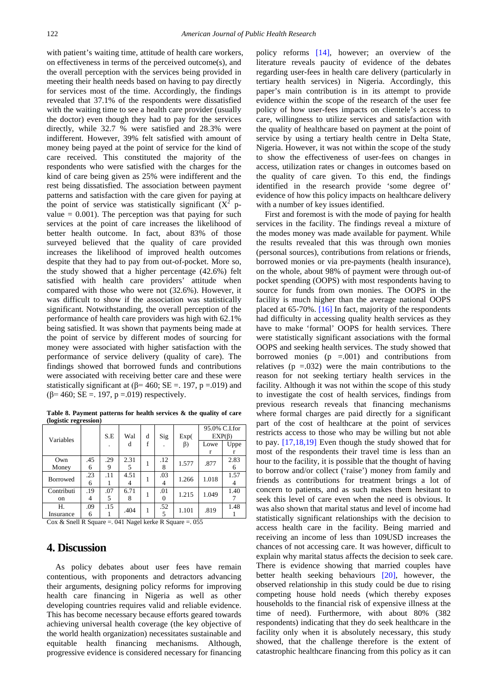with patient's waiting time, attitude of health care workers, on effectiveness in terms of the perceived outcome(s), and the overall perception with the services being provided in meeting their health needs based on having to pay directly for services most of the time. Accordingly, the findings revealed that 37.1% of the respondents were dissatisfied with the waiting time to see a health care provider (usually the doctor) even though they had to pay for the services directly, while 32.7 % were satisfied and 28.3% were indifferent. However, 39% felt satisfied with amount of money being payed at the point of service for the kind of care received. This constituted the majority of the respondents who were satisfied with the charges for the kind of care being given as 25% were indifferent and the rest being dissatisfied. The association between payment patterns and satisfaction with the care given for paying at the point of service was statistically significant  $(X^2$  pvalue  $= 0.001$ ). The perception was that paying for such services at the point of care increases the likelihood of better health outcome. In fact, about 83% of those surveyed believed that the quality of care provided increases the likelihood of improved health outcomes despite that they had to pay from out-of-pocket. More so, the study showed that a higher percentage (42.6%) felt satisfied with health care providers' attitude when compared with those who were not (32.6%). However, it was difficult to show if the association was statistically significant. Notwithstanding, the overall perception of the performance of health care providers was high with 62.1% being satisfied. It was shown that payments being made at the point of service by different modes of sourcing for money were associated with higher satisfaction with the performance of service delivery (quality of care). The findings showed that borrowed funds and contributions were associated with receiving better care and these were statistically significant at ( $\beta$ = 460; SE = 197, p = 019) and  $(\beta = 460; SE = .197, p = .019)$  respectively.

**Table 8. Payment patterns for health services & the quality of care (logistic regression)**

| Variables       |          | S.E            | Wal<br>d | Sig | Exp(     | 95.0% C.I.for<br>$EXP(\beta)$ |           |      |
|-----------------|----------|----------------|----------|-----|----------|-------------------------------|-----------|------|
|                 |          | $\blacksquare$ | d        | f   |          | $\beta$                       | Lowe<br>r | Uppe |
| Own             | .45      | .29            | 2.31     |     | .12      |                               | .877      | 2.83 |
| Money           | 6        | 9              | 5        |     | 8        | 1.577                         |           | 6    |
| <b>Borrowed</b> | .23<br>6 | .11            | 4.51     |     | .03<br>4 | 1.266                         | 1.018     | 1.57 |
| Contributi      | .19      | .07            | 6.71     |     | .01      | 1.215                         | 1.049     | 1.40 |
| <sub>on</sub>   | 4        | 5              | 8        |     | $\Omega$ |                               |           |      |
| Н.              | .09      | .15            | .404     | 1   | .52      | 1.101                         | .819      | 1.48 |
| Insurance       | 6        |                |          |     | 5        |                               |           |      |

 $\cos \&$  Snell R Square = .041 Nagel kerke R Square = .055

## **4. Discussion**

As policy debates about user fees have remain contentious, with proponents and detractors advancing their arguments, designing policy reforms for improving health care financing in Nigeria as well as other developing countries requires valid and reliable evidence. This has become necessary because efforts geared towards achieving universal health coverage (the key objective of the world health organization) necessitates sustainable and equitable health financing mechanisms. Although, progressive evidence is considered necessary for financing policy reforms [\[14\],](#page-5-3) however; an overview of the literature reveals paucity of evidence of the debates regarding user-fees in health care delivery (particularly in tertiary health services) in Nigeria. Accordingly, this paper's main contribution is in its attempt to provide evidence within the scope of the research of the user fee policy of how user-fees impacts on clientele's access to care, willingness to utilize services and satisfaction with the quality of healthcare based on payment at the point of service by using a tertiary health centre in Delta State, Nigeria. However, it was not within the scope of the study to show the effectiveness of user-fees on changes in access, utilization rates or changes in outcomes based on the quality of care given. To this end, the findings identified in the research provide 'some degree of' evidence of how this policy impacts on healthcare delivery with a number of key issues identified.

First and foremost is with the mode of paying for health services in the facility. The findings reveal a mixture of the modes money was made available for payment. While the results revealed that this was through own monies (personal sources), contributions from relations or friends, borrowed monies or via pre-payments (health insurance), on the whole, about 98% of payment were through out-of pocket spending (OOPS) with most respondents having to source for funds from own monies. The OOPS in the facility is much higher than the average national OOPS placed at 65-70%. [\[16\]](#page-5-4) In fact, majority of the respondents had difficulty in accessing quality health services as they have to make 'formal' OOPS for health services. There were statistically significant associations with the formal OOPS and seeking health services. The study showed that borrowed monies  $(p = .001)$  and contributions from relatives  $(p = .032)$  were the main contributions to the reason for not seeking tertiary health services in the facility. Although it was not within the scope of this study to investigate the cost of health services, findings from previous research reveals that financing mechanisms where formal charges are paid directly for a significant part of the cost of healthcare at the point of services restricts access to those who may be willing but not able to pay. [\[17,18,19\]](#page-5-5) Even though the study showed that for most of the respondents their travel time is less than an hour to the facility, it is possible that the thought of having to borrow and/or collect ('raise') money from family and friends as contributions for treatment brings a lot of concern to patients, and as such makes them hesitant to seek this level of care even when the need is obvious. It was also shown that marital status and level of income had statistically significant relationships with the decision to access health care in the facility. Being married and receiving an income of less than 109USD increases the chances of not accessing care. It was however, difficult to explain why marital status affects the decision to seek care. There is evidence showing that married couples have better health seeking behaviours [\[20\],](#page-5-6) however, the observed relationship in this study could be due to rising competing house hold needs (which thereby exposes households to the financial risk of expensive illness at the time of need). Furthermore, with about 80% (382 respondents) indicating that they do seek healthcare in the facility only when it is absolutely necessary, this study showed, that the challenge therefore is the extent of catastrophic healthcare financing from this policy as it can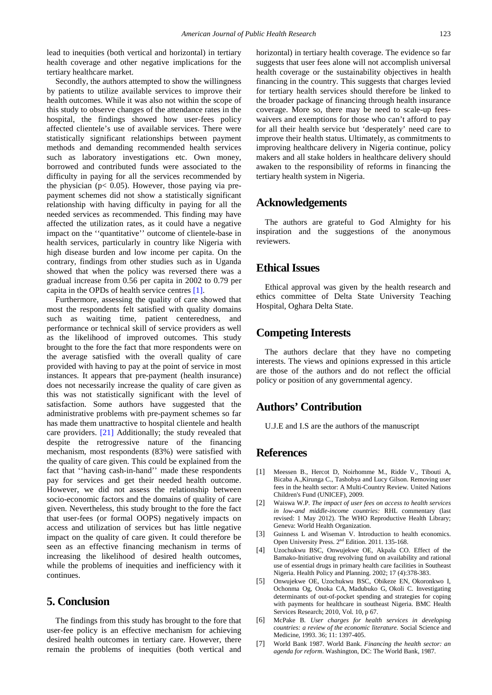lead to inequities (both vertical and horizontal) in tertiary health coverage and other negative implications for the tertiary healthcare market.

Secondly, the authors attempted to show the willingness by patients to utilize available services to improve their health outcomes. While it was also not within the scope of this study to observe changes of the attendance rates in the hospital, the findings showed how user-fees policy affected clientele's use of available services. There were statistically significant relationships between payment methods and demanding recommended health services such as laboratory investigations etc. Own money, borrowed and contributed funds were associated to the difficulty in paying for all the services recommended by the physician ( $p < 0.05$ ). However, those paying via prepayment schemes did not show a statistically significant relationship with having difficulty in paying for all the needed services as recommended. This finding may have affected the utilization rates, as it could have a negative impact on the ''quantitative'' outcome of clientele-base in health services, particularly in country like Nigeria with high disease burden and low income per capita. On the contrary, findings from other studies such as in Uganda showed that when the policy was reversed there was a gradual increase from 0.56 per capita in 2002 to 0.79 per capita in the OPDs of health service centres [\[1\].](#page-4-0)

Furthermore, assessing the quality of care showed that most the respondents felt satisfied with quality domains such as waiting time, patient centeredness, and performance or technical skill of service providers as well as the likelihood of improved outcomes. This study brought to the fore the fact that more respondents were on the average satisfied with the overall quality of care provided with having to pay at the point of service in most instances. It appears that pre-payment (health insurance) does not necessarily increase the quality of care given as this was not statistically significant with the level of satisfaction. Some authors have suggested that the administrative problems with pre-payment schemes so far has made them unattractive to hospital clientele and health care providers. [21] Additionally; the study revealed that despite the retrogressive nature of the financing mechanism, most respondents (83%) were satisfied with the quality of care given. This could be explained from the fact that ''having cash-in-hand'' made these respondents pay for services and get their needed health outcome. However, we did not assess the relationship between socio-economic factors and the domains of quality of care given. Nevertheless, this study brought to the fore the fact that user-fees (or formal OOPS) negatively impacts on access and utilization of services but has little negative impact on the quality of care given. It could therefore be seen as an effective financing mechanism in terms of increasing the likelihood of desired health outcomes, while the problems of inequities and inefficiency with it continues.

## **5. Conclusion**

The findings from this study has brought to the fore that user-fee policy is an effective mechanism for achieving desired health outcomes in tertiary care. However, there remain the problems of inequities (both vertical and horizontal) in tertiary health coverage. The evidence so far suggests that user fees alone will not accomplish universal health coverage or the sustainability objectives in health financing in the country. This suggests that charges levied for tertiary health services should therefore be linked to the broader package of financing through health insurance coverage. More so, there may be need to scale-up feeswaivers and exemptions for those who can't afford to pay for all their health service but 'desperately' need care to improve their health status. Ultimately, as commitments to improving healthcare delivery in Nigeria continue, policy makers and all stake holders in healthcare delivery should awaken to the responsibility of reforms in financing the tertiary health system in Nigeria.

#### **Acknowledgements**

The authors are grateful to God Almighty for his inspiration and the suggestions of the anonymous reviewers.

## **Ethical Issues**

Ethical approval was given by the health research and ethics committee of Delta State University Teaching Hospital, Oghara Delta State.

## **Competing Interests**

The authors declare that they have no competing interests. The views and opinions expressed in this article are those of the authors and do not reflect the official policy or position of any governmental agency.

## **Authors' Contribution**

U.J.E and I.S are the authors of the manuscript

# **References**

- <span id="page-4-0"></span>[1] Meessen B., Hercot D, Noirhomme M., Ridde V., Tibouti A, Bicaba A.,Kirunga C., Tashobya and Lucy Gilson. Removing user fees in the health sector: A Multi-Country Review*.* United Nations Children's Fund (UNICEF), 2009.
- [2] Waiswa W.P. *The impact of user fees on access to health services in low-and middle-income countries:* RHL commentary (last revised: 1 May 2012). The WHO Reproductive Health Library; Geneva: World Health Organization.
- <span id="page-4-1"></span>[3] Guinness L and Wiseman V. Introduction to health economics. Open University Press. 2nd Edition. 2011. 135-168.
- <span id="page-4-2"></span>[4] Uzochukwu BSC, Onwujekwe OE, Akpala CO. Effect of the Bamako-Initiative drug revolving fund on availability and rational use of essential drugs in primary health care facilities in Southeast Nigeria. Health Policy and Planning. 2002; 17 (4):378-383.
- <span id="page-4-3"></span>[5] Onwujekwe OE, Uzochukwu BSC, Obikeze EN, Okoronkwo I, Ochonma Og, Onoka CA, Madubuko G, Okoli C. Investigating determinants of out-of-pocket spending and strategies for coping with payments for healthcare in southeast Nigeria. BMC Health Services Research; 2010, Vol. 10, p 67.
- <span id="page-4-4"></span>[6] McPake B*. User charges for health services in developing countries: a review of the economic literature.* Social Science and Medicine, 1993. 36; 11: 1397-405.
- [7] World Bank 1987. World Bank. *Financing the health sector: an agenda for reform*. Washington, DC: The World Bank, 1987.